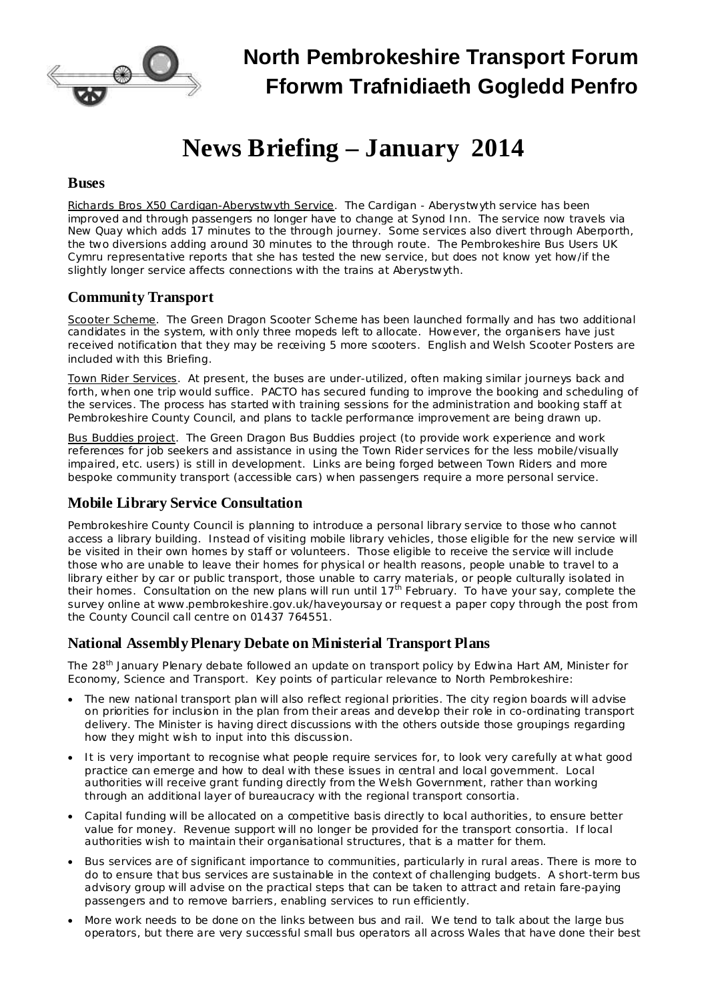

### **North Pembrokeshire Transport Forum Fforwm Trafnidiaeth Gogledd Penfro**

### **News Briefing – January 2014**

#### **Buses**

Richards Bros X50 Cardigan-Aberystwyth Service. The Cardigan - Aberystwyth service has been improved and through passengers no longer have to change at Synod Inn. The service now travels via New Quay which adds 17 minutes to the through journey. Some services also divert through Aberporth, the two diversions adding around 30 minutes to the through route. The Pembrokeshire Bus Users UK Cymru representative reports that she has tested the new service, but does not know yet how/if the slightly longer service affects connections with the trains at Aberystwyth.

#### **Community Transport**

Scooter Scheme. The Green Dragon Scooter Scheme has been launched formally and has two additional candidates in the system, with only three mopeds left to allocate. However, the organisers have just received notification that they may be receiving 5 more scooters. English and Welsh Scooter Posters are included with this Briefing.

Town Rider Services. At present, the buses are under-utilized, often making similar journeys back and forth, when one trip would suffice. PACTO has secured funding to improve the booking and scheduling of the services. The process has started with training sessions for the administration and booking staff at Pembrokeshire County Council, and plans to tackle performance improvement are being drawn up.

Bus Buddies project. The Green Dragon Bus Buddies project (to provide work experience and work references for job seekers and assistance in using the Town Rider services for the less mobile/visually impaired, etc. users) is still in development. Links are being forged between Town Riders and more bespoke community transport (accessible cars) when passengers require a more personal service.

#### **Mobile Library Service Consultation**

Pembrokeshire County Council is planning to introduce a personal library service to those who cannot access a library building. Instead of visiting mobile library vehicles, those eligible for the new service will be visited in their own homes by staff or volunteers. Those eligible to receive the service will include those who are unable to leave their homes for physical or health reasons, people unable to travel to a library either by car or public transport, those unable to carry materials, or people culturally isolated in their homes. Consultation on the new plans will run until 17<sup>th</sup> February. To have your say, complete the survey online at [www.pembrokeshire.gov.uk/haveyoursay](http://www.pembrokeshire.gov.uk/haveyoursay) or request a paper copy through the post from the County Council call centre on 01437 764551.

#### **National AssemblyPlenary Debate on Ministerial Transport Plans**

The 28<sup>th</sup> January Plenary debate followed an update on transport policy by Edwina Hart AM, Minister for Economy, Science and Transport. Key points of particular relevance to North Pembrokeshire:

- · The new national transport plan will also reflect regional priorities. The city region boards will advise on priorities for inclusion in the plan from their areas and develop their role in co-ordinating transport delivery. The Minister is having direct discussions with the others outside those groupings regarding how they might wish to input into this discussion.
- · It is very important to recognise what people require services for, to look very carefully at what good practice can emerge and how to deal with these issues in central and local government. Local authorities will receive grant funding directly from the Welsh Government, rather than working through an additional layer of bureaucracy with the regional transport consortia.
- · Capital funding will be allocated on a competitive basis directly to local authorities, to ensure better value for money. Revenue support will no longer be provided for the transport consortia. If local authorities wish to maintain their organisational structures, that is a matter for them.
- · Bus services are of significant importance to communities, particularly in rural areas. There is more to do to ensure that bus services are sustainable in the context of challenging budgets. A short-term bus advisory group will advise on the practical steps that can be taken to attract and retain fare-paying passengers and to remove barriers, enabling services to run efficiently.
- More work needs to be done on the links between bus and rail. We tend to talk about the large bus operators, but there are very successful small bus operators all across Wales that have done their best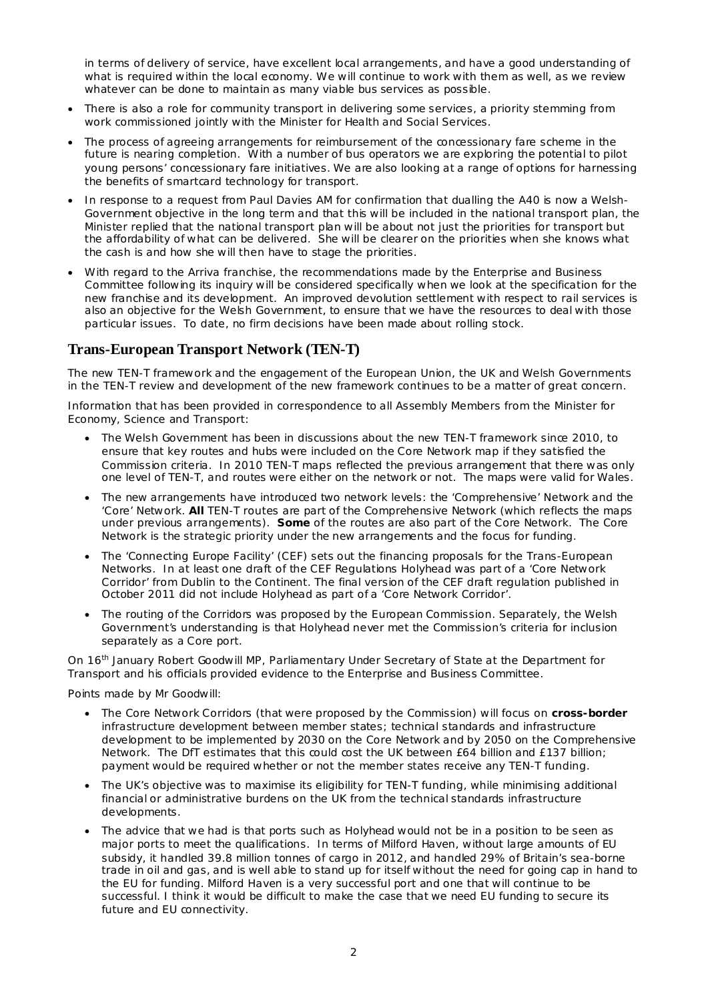in terms of delivery of service, have excellent local arrangements, and have a good understanding of what is required within the local economy. We will continue to work with them as well, as we review whatever can be done to maintain as many viable bus services as possible.

- · There is also a role for community transport in delivering some services, a priority stemming from work commissioned jointly with the Minister for Health and Social Services.
- · The process of agreeing arrangements for reimbursement of the concessionary fare scheme in the future is nearing completion. With a number of bus operators we are exploring the potential to pilot young persons' concessionary fare initiatives. We are also looking at a range of options for harnessing the benefits of smartcard technology for transport.
- In response to a request from Paul Davies AM for confirmation that dualling the A40 is now a Welsh-Government objective in the long term and that this will be included in the national transport plan, the Minister replied that the national transport plan will be about not just the priorities for transport but the affordability of what can be delivered. She will be clearer on the priorities when she knows what the cash is and how she will then have to stage the priorities.
- · With regard to the Arriva franchise, the recommendations made by the Enterprise and Business Committee following its inquiry will be considered specifically when we look at the specification for the new franchise and its development. An improved devolution settlement with respect to rail services is also an objective for the Welsh Government, to ensure that we have the resources to deal with those particular issues. To date, no firm decisions have been made about rolling stock.

#### **Trans-European Transport Network (TEN-T)**

The new TEN-T framework and the engagement of the European Union, the UK and Welsh Governments in the TEN-T review and development of the new framework continues to be a matter of great concern.

Information that has been provided in correspondence to all Assembly Members from the Minister for Economy, Science and Transport:

- · The Welsh Government has been in discussions about the new TEN-T framework since 2010, to ensure that key routes and hubs were included on the Core Network map if they satisfied the Commission criteria. In 2010 TEN-T maps reflected the previous arrangement that there was only one level of TEN-T, and routes were either on the network or not. The maps were valid for Wales.
- · The new arrangements have introduced two network levels: the 'Comprehensive' Network and the 'Core' Network. **All** TEN-T routes are part of the Comprehensive Network (which reflects the maps under previous arrangements). **Some** of the routes are also part of the Core Network. The Core Network is the strategic priority under the new arrangements and the focus for funding.
- The 'Connecting Europe Facility' (CEF) sets out the financing proposals for the Trans-European Networks. In at least one draft of the CEF Regulations Holyhead was part of a 'Core Network Corridor' from Dublin to the Continent. The final version of the CEF draft regulation published in October 2011 did not include Holyhead as part of a 'Core Network Corridor'.
- The routing of the Corridors was proposed by the European Commission. Separately, the Welsh Government's understanding is that Holyhead never met the Commission's criteria for inclusion separately as a Core port.

On 16<sup>th</sup> January Robert Goodwill MP, Parliamentary Under Secretary of State at the Department for Transport and his officials provided evidence to the Enterprise and Business Committee.

Points made by Mr Goodwill:

- · The Core Network Corridors (that were proposed by the Commission) will focus on **cross-border** infrastructure development between member states; technical standards and infrastructure development to be implemented by 2030 on the Core Network and by 2050 on the Comprehensive Network. The DfT estimates that this could cost the UK between £64 billion and £137 billion; payment would be required whether or not the member states receive any TEN-T funding.
- The UK's objective was to maximise its eligibility for TEN-T funding, while minimising additional financial or administrative burdens on the UK from the technical standards infrastructure developments.
- · The advice that we had is that ports such as Holyhead would not be in a position to be seen as major ports to meet the qualifications. In terms of Milford Haven, without large amounts of EU subsidy, it handled 39.8 million tonnes of cargo in 2012, and handled 29% of Britain's sea-borne trade in oil and gas, and is well able to stand up for itself without the need for going cap in hand to the EU for funding. Milford Haven is a very successful port and one that will continue to be successful. I think it would be difficult to make the case that we need EU funding to secure its future and EU connectivity.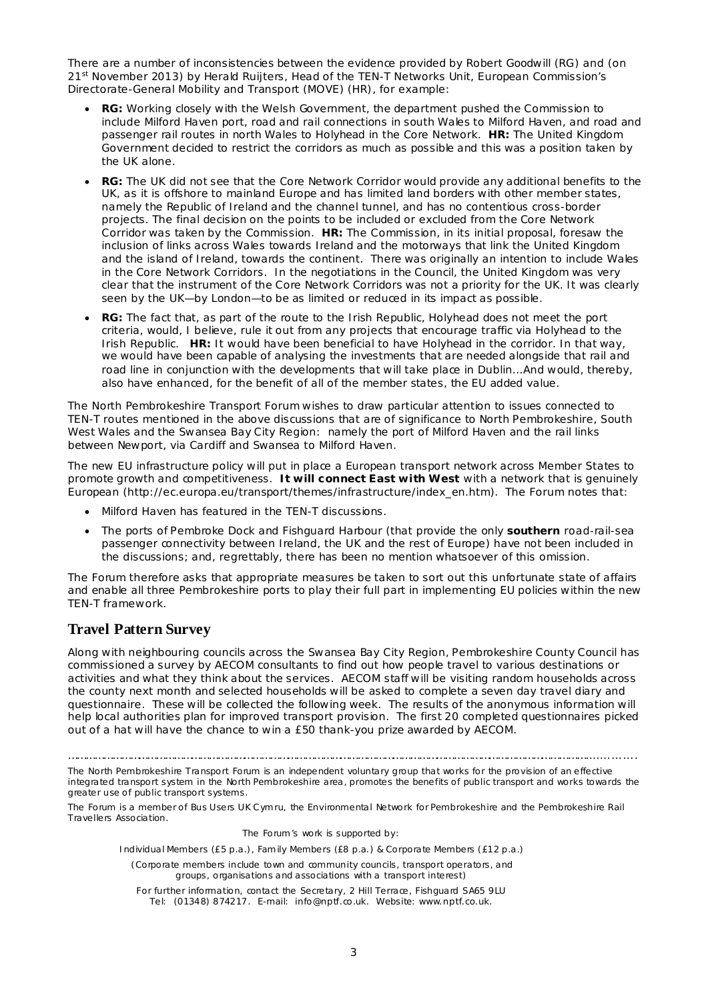There are a number of inconsistencies between the evidence provided by Robert Goodwill (RG) and (on 21<sup>st</sup> November 2013) by Herald Ruijters, Head of the TEN-T Networks Unit, European Commission's Directorate-General Mobility and Transport (MOVE) (HR), for example:

- · **RG:** Working closely with the Welsh Government, the department pushed the Commission to include Milford Haven port, road and rail connections in south Wales to Milford Haven, and road and passenger rail routes in north Wales to Holyhead in the Core Network. **HR:** The United Kingdom Government decided to restrict the corridors as much as possible and this was a position taken by the UK alone.
- · **RG:** The UK did not see that the Core Network Corridor would provide any additional benefits to the UK, as it is offshore to mainland Europe and has limited land borders with other member states, namely the Republic of Ireland and the channel tunnel, and has no contentious cross-border projects. The final decision on the points to be included or excluded from the Core Network Corridor was taken by the Commission. **HR:** The Commission, in its initial proposal, foresaw the inclusion of links across Wales towards Ireland and the motorways that link the United Kingdom and the island of Ireland, towards the continent. There was originally an intention to include Wales in the Core Network Corridors. In the negotiations in the Council, the United Kingdom was very clear that the instrument of the Core Network Corridors was not a priority for the UK. It was clearly seen by the UK—by London—to be as limited or reduced in its impact as possible.
- · **RG:** The fact that, as part of the route to the Irish Republic, Holyhead does not meet the port criteria, would, I believe, rule it out from any projects that encourage traffic via Holyhead to the Irish Republic. **HR:** It would have been beneficial to have Holyhead in the corridor. In that way, we would have been capable of analysing the investments that are needed alongside that rail and road line in conjunction with the developments that will take place in Dublin...And would, thereby, also have enhanced, for the benefit of all of the member states, the EU added value.

The North Pembrokeshire Transport Forum wishes to draw particular attention to issues connected to TEN-T routes mentioned in the above discussions that are of significance to North Pembrokeshire, South West Wales and the Swansea Bay City Region: namely the port of Milford Haven and the rail links between Newport, via Cardiff and Swansea to Milford Haven.

The new EU infrastructure policy will put in place a European transport network across Member States to promote growth and competitiveness. **It will connect East with West** with a network that is genuinely European [\(http://ec.europa.eu/transport/themes/infrastructure/index\\_en.htm](http://ec.europa.eu/transport/themes/infrastructure/index_en.htm)). The Forum notes that:

- · Milford Haven has featured in the TEN-T discussions.
- · The ports of Pembroke Dock and Fishguard Harbour (that provide the only **southern** road-rail-sea passenger connectivity between Ireland, the UK and the rest of Europe) have not been included in the discussions; and, regrettably, there has been no mention whatsoever of this omission.

The Forum therefore asks that appropriate measures be taken to sort out this unfortunate state of affairs and enable all three Pembrokeshire ports to play their full part in implementing EU policies within the new TEN-T framework.

#### **Travel Pattern Survey**

Along with neighbouring councils across the Swansea Bay City Region, Pembrokeshire County Council has commissioned a survey by AECOM consultants to find out how people travel to various destinations or activities and what they think about the services. AECOM staff will be visiting random households across the county next month and selected households will be asked to complete a seven day travel diary and questionnaire. These will be collected the following week. The results of the anonymous information will help local authorities plan for improved transport provision. The first 20 completed questionnaires picked out of a hat will have the chance to win a £50 thank-you prize awarded by AECOM.

The North Pembrokeshire Transport Forum is an independent voluntary group that works for the provision of an effective integrated transport system in the North Pembrokeshire area, promotes the benefits of public transport and works towards the greater use of public transport systems.

The Forum is a member of Bus Users UK Cymru, the Environmental Network for Pembrokeshire and the Pembrokeshire Rail Travellers Association.

The Forum's work is supported by:

Individual Members (£5 p.a.), Family Members (£8 p.a.) & Corporate Members (£12 p.a.)

(Corporate members include town and community councils, transport operators, and groups, organisations and associations with a transport interest)

For further information, contact the Secretary, 2 Hill Terrace, Fishguard SA65 9LU Tel: (01348) 874217. E-mail: [info@nptf.co.uk.](mailto:info@nptf.co.uk) Website: [www.nptf.co.uk.](http://www.nptf.co.uk/)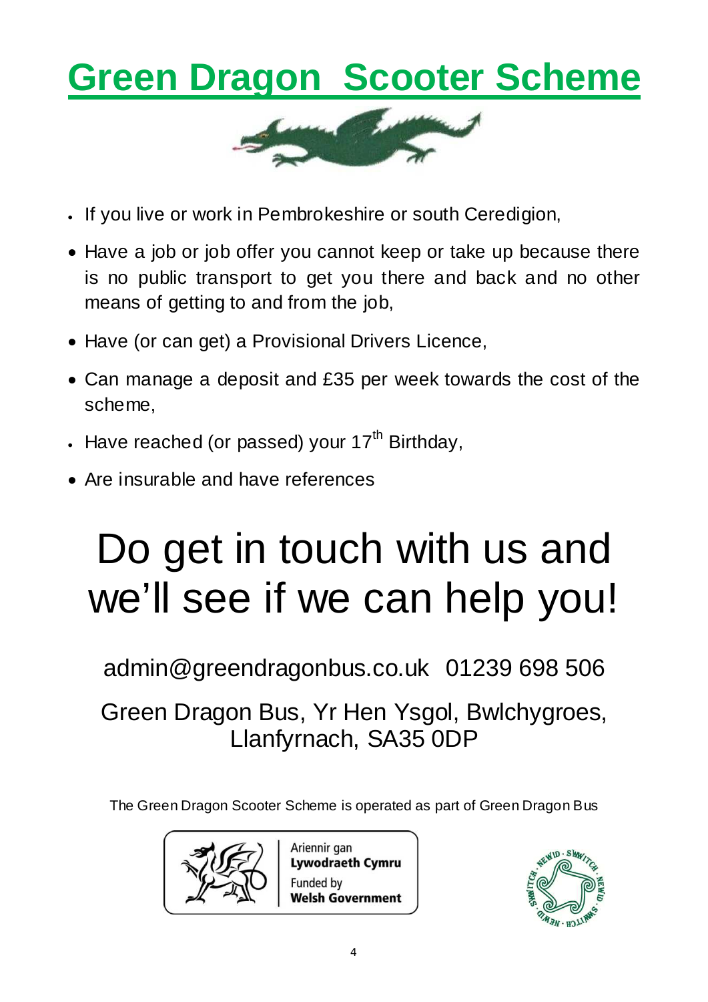## **Green Dragon Scooter Scheme**



- · If you live or work in Pembrokeshire or south Ceredigion,
- Have a job or job offer you cannot keep or take up because there is no public transport to get you there and back and no other means of getting to and from the job,
- Have (or can get) a Provisional Drivers Licence,
- · Can manage a deposit and £35 per week towards the cost of the scheme,
- Have reached (or passed) your 17<sup>th</sup> Birthday,
- Are insurable and have references

# Do get in touch with us and we'll see if we can help you!

[admin@greendragonbus.co.uk](mailto:admin@greendragonbus.co.uk) 01239 698 506

Green Dragon Bus, Yr Hen Ysgol, Bwlchygroes, Llanfyrnach, SA35 0DP

The Green Dragon Scooter Scheme is operated as part of Green Dragon Bus



Ariennir gan **Lywodraeth Cymru Funded by Welsh Government**